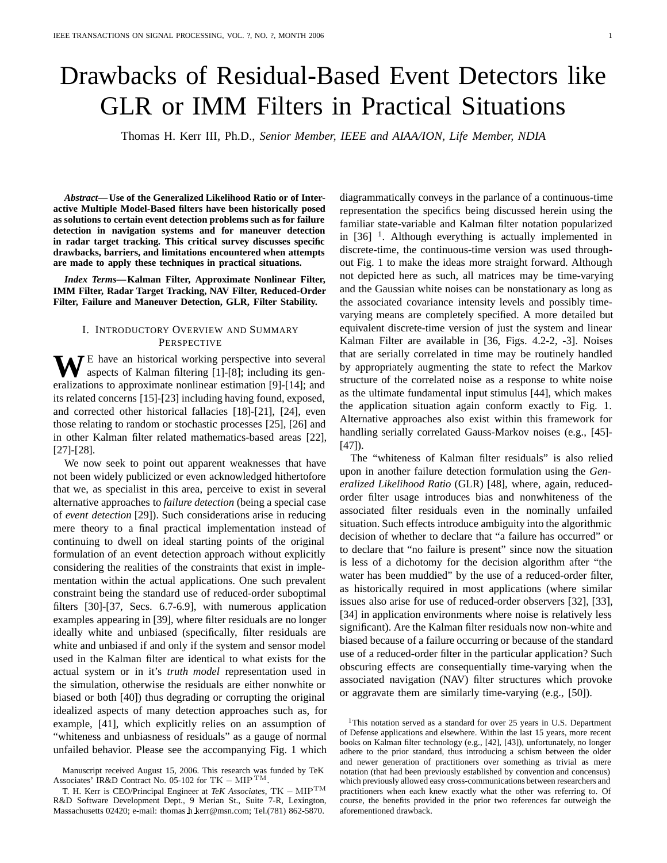# Drawbacks of Residual-Based Event Detectors like GLR or IMM Filters in Practical Situations

Thomas H. Kerr III, Ph.D., *Senior Member, IEEE and AIAA/ION, Life Member, NDIA*

*Abstract***— Use of the Generalized Likelihood Ratio or of Interactive Multiple Model-Based filters have been historically posed as solutions to certain event detection problems such as for failure detection in navigation systems and for maneuver detection in radar target tracking. This critical survey discusses specific drawbacks, barriers, and limitations encountered when attempts are made to apply these techniques in practical situations.**

*Index Terms***—Kalman Filter, Approximate Nonlinear Filter, IMM Filter, Radar Target Tracking, NAV Filter, Reduced-Order Filter, Failure and Maneuver Detection, GLR, Filter Stability.**

## I. INTRODUCTORY OVERVIEW AND SUMMARY PERSPECTIVE

**WE** have an historical working perspective into several aspects of Kalman filtering [1]-[8]; including its generalizations to approximate nonlinear estimation [9]-[14]; and its related concerns [15]-[23] including having found, exposed, and corrected other historical fallacies [18]-[21], [24], even those relating to random or stochastic processes [25], [26] and in other Kalman filter related mathematics-based areas [22], [27]-[28].

We now seek to point out apparent weaknesses that have not been widely publicized or even acknowledged hithertofore that we, as specialist in this area, perceive to exist in several alternative approaches to *failure detection* (being a special case of *event detection* [29]). Such considerations arise in reducing mere theory to a final practical implementation instead of continuing to dwell on ideal starting points of the original formulation of an event detection approach without explicitly considering the realities of the constraints that exist in implementation within the actual applications. One such prevalent constraint being the standard use of reduced-order suboptimal filters [30]-[37, Secs. 6.7-6.9], with numerous application examples appearing in [39], where filter residuals are no longer ideally white and unbiased (specifically, filter residuals are white and unbiased if and only if the system and sensor model used in the Kalman filter are identical to what exists for the actual system or in it's *truth model* representation used in the simulation, otherwise the residuals are either nonwhite or biased or both [40]) thus degrading or corrupting the original idealized aspects of many detection approaches such as, for example, [41], which explicitly relies on an assumption of "whiteness and unbiasness of residuals" as a gauge of normal unfailed behavior. Please see the accompanying Fig. 1 which

diagrammatically conveys in the parlance of a continuous-time representation the specifics being discussed herein using the familiar state-variable and Kalman filter notation popularized in  $[36]$ <sup>1</sup>. Although everything is actually implemented in discrete-time, the continuous-time version was used throughout Fig. 1 to make the ideas more straight forward. Although not depicted here as such, all matrices may be time-varying and the Gaussian white noises can be nonstationary as long as the associated covariance intensity levels and possibly timevarying means are completely specified. A more detailed but equivalent discrete-time version of just the system and linear Kalman Filter are available in [36, Figs. 4.2-2, -3]. Noises that are serially correlated in time may be routinely handled by appropriately augmenting the state to refect the Markov structure of the correlated noise as a response to white noise as the ultimate fundamental input stimulus [44], which makes the application situation again conform exactly to Fig. 1. Alternative approaches also exist within this framework for handling serially correlated Gauss-Markov noises (e.g., [45]- [47]).

The "whiteness of Kalman filter residuals" is also relied upon in another failure detection formulation using the *Generalized Likelihood Ratio* (GLR) [48], where, again, reducedorder filter usage introduces bias and nonwhiteness of the associated filter residuals even in the nominally unfailed situation. Such effects introduce ambiguity into the algorithmic decision of whether to declare that "a failure has occurred" or to declare that "no failure is present" since now the situation is less of a dichotomy for the decision algorithm after "the water has been muddied" by the use of a reduced-order filter, as historically required in most applications (where similar issues also arise for use of reduced-order observers [32], [33], [34] in application environments where noise is relatively less significant). Are the Kalman filter residuals now non-white and biased because of a failure occurring or because of the standard use of a reduced-order filter in the particular application? Such obscuring effects are consequentially time-varying when the associated navigation (NAV) filter structures which provoke or aggravate them are similarly time-varying (e.g., [50]).

Manuscript received August 15, 2006. This research was funded by TeK Associates' IR&D Contract No. 05-102 for TK *<sup>−</sup>* MIP TM.

T. H. Kerr is CEO/Principal Engineer at *TeK Associates*, TK *<sup>−</sup>* MIPTM R&D Software Development Dept., 9 Merian St., Suite 7-R, Lexington, Massachusetts 02420; e-mail: thomas h kerr@msn.com; Tel.(781) 862-5870.

<sup>&</sup>lt;sup>1</sup>This notation served as a standard for over 25 years in U.S. Department of Defense applications and elsewhere. Within the last 15 years, more recent books on Kalman filter technology (e.g., [42], [43]), unfortunately, no longer adhere to the prior standard, thus introducing a schism between the older and newer generation of practitioners over something as trivial as mere notation (that had been previously established by convention and concensus) which previously allowed easy cross-communications between researchers and practitioners when each knew exactly what the other was referring to. Of course, the benefits provided in the prior two references far outweigh the aforementioned drawback.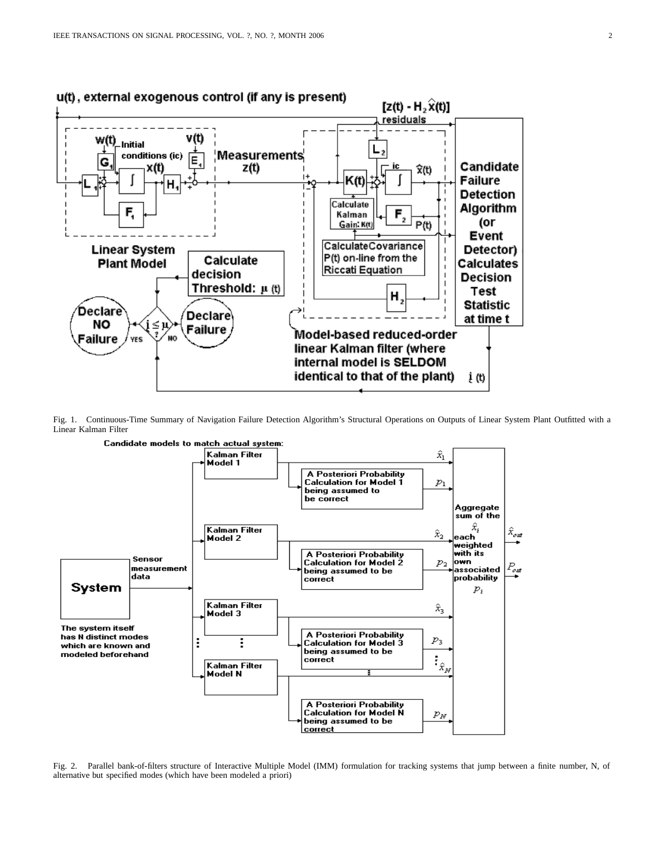

Fig. 1. Continuous-Time Summary of Navigation Failure Detection Algorithm's Structural Operations on Outputs of Linear System Plant Outfitted with a Linear Kalman Filter



Fig. 2. Parallel bank-of-filters structure of Interactive Multiple Model (IMM) formulation for tracking systems that jump between a finite number, N, of alternative but specified modes (which have been modeled a priori)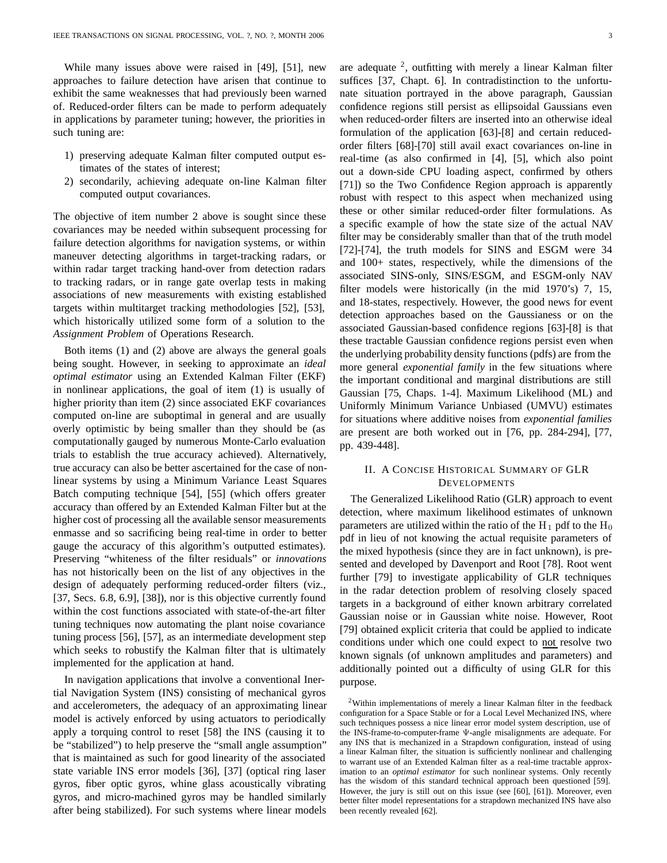While many issues above were raised in [49], [51], new approaches to failure detection have arisen that continue to exhibit the same weaknesses that had previously been warned of. Reduced-order filters can be made to perform adequately in applications by parameter tuning; however, the priorities in such tuning are:

- 1) preserving adequate Kalman filter computed output estimates of the states of interest;
- 2) secondarily, achieving adequate on-line Kalman filter computed output covariances.

The objective of item number 2 above is sought since these covariances may be needed within subsequent processing for failure detection algorithms for navigation systems, or within maneuver detecting algorithms in target-tracking radars, or within radar target tracking hand-over from detection radars to tracking radars, or in range gate overlap tests in making associations of new measurements with existing established targets within multitarget tracking methodologies [52], [53], which historically utilized some form of a solution to the *Assignment Problem* of Operations Research.

Both items (1) and (2) above are always the general goals being sought. However, in seeking to approximate an *ideal optimal estimator* using an Extended Kalman Filter (EKF) in nonlinear applications, the goal of item (1) is usually of higher priority than item (2) since associated EKF covariances computed on-line are suboptimal in general and are usually overly optimistic by being smaller than they should be (as computationally gauged by numerous Monte-Carlo evaluation trials to establish the true accuracy achieved). Alternatively, true accuracy can also be better ascertained for the case of nonlinear systems by using a Minimum Variance Least Squares Batch computing technique [54], [55] (which offers greater accuracy than offered by an Extended Kalman Filter but at the higher cost of processing all the available sensor measurements enmasse and so sacrificing being real-time in order to better gauge the accuracy of this algorithm's outputted estimates). Preserving "whiteness of the filter residuals" or *innovations* has not historically been on the list of any objectives in the design of adequately performing reduced-order filters (viz., [37, Secs. 6.8, 6.9], [38]), nor is this objective currently found within the cost functions associated with state-of-the-art filter tuning techniques now automating the plant noise covariance tuning process [56], [57], as an intermediate development step which seeks to robustify the Kalman filter that is ultimately implemented for the application at hand.

In navigation applications that involve a conventional Inertial Navigation System (INS) consisting of mechanical gyros and accelerometers, the adequacy of an approximating linear model is actively enforced by using actuators to periodically apply a torquing control to reset [58] the INS (causing it to be "stabilized") to help preserve the "small angle assumption" that is maintained as such for good linearity of the associated state variable INS error models [36], [37] (optical ring laser gyros, fiber optic gyros, whine glass acoustically vibrating gyros, and micro-machined gyros may be handled similarly after being stabilized). For such systems where linear models are adequate  $2$ , outfitting with merely a linear Kalman filter suffices [37, Chapt. 6]. In contradistinction to the unfortunate situation portrayed in the above paragraph, Gaussian confidence regions still persist as ellipsoidal Gaussians even when reduced-order filters are inserted into an otherwise ideal formulation of the application [63]-[8] and certain reducedorder filters [68]-[70] still avail exact covariances on-line in real-time (as also confirmed in [4], [5], which also point out a down-side CPU loading aspect, confirmed by others [71]) so the Two Confidence Region approach is apparently robust with respect to this aspect when mechanized using these or other similar reduced-order filter formulations. As a specific example of how the state size of the actual NAV filter may be considerably smaller than that of the truth model [72]-[74], the truth models for SINS and ESGM were 34 and 100+ states, respectively, while the dimensions of the associated SINS-only, SINS/ESGM, and ESGM-only NAV filter models were historically (in the mid 1970's) 7, 15, and 18-states, respectively. However, the good news for event detection approaches based on the Gaussianess or on the associated Gaussian-based confidence regions [63]-[8] is that these tractable Gaussian confidence regions persist even when the underlying probability density functions (pdfs) are from the more general *exponential family* in the few situations where the important conditional and marginal distributions are still Gaussian [75, Chaps. 1-4]. Maximum Likelihood (ML) and Uniformly Minimum Variance Unbiased (UMVU) estimates for situations where additive noises from *exponential families* are present are both worked out in [76, pp. 284-294], [77, pp. 439-448].

# II. A CONCISE HISTORICAL SUMMARY OF GLR **DEVELOPMENTS**

The Generalized Likelihood Ratio (GLR) approach to event detection, where maximum likelihood estimates of unknown parameters are utilized within the ratio of the  $H_1$  pdf to the  $H_0$ pdf in lieu of not knowing the actual requisite parameters of the mixed hypothesis (since they are in fact unknown), is presented and developed by Davenport and Root [78]. Root went further [79] to investigate applicability of GLR techniques in the radar detection problem of resolving closely spaced targets in a background of either known arbitrary correlated Gaussian noise or in Gaussian white noise. However, Root [79] obtained explicit criteria that could be applied to indicate conditions under which one could expect to not resolve two known signals (of unknown amplitudes and parameters) and additionally pointed out a difficulty of using GLR for this purpose.

<sup>2</sup>Within implementations of merely a linear Kalman filter in the feedback configuration for a Space Stable or for a Local Level Mechanized INS, where such techniques possess a nice linear error model system description, use of the INS-frame-to-computer-frame Ψ-angle misalignments are adequate. For any INS that is mechanized in a Strapdown configuration, instead of using a linear Kalman filter, the situation is sufficiently nonlinear and challenging to warrant use of an Extended Kalman filter as a real-time tractable approximation to an *optimal estimator* for such nonlinear systems. Only recently has the wisdom of this standard technical approach been questioned [59]. However, the jury is still out on this issue (see [60], [61]). Moreover, even better filter model representations for a strapdown mechanized INS have also been recently revealed [62].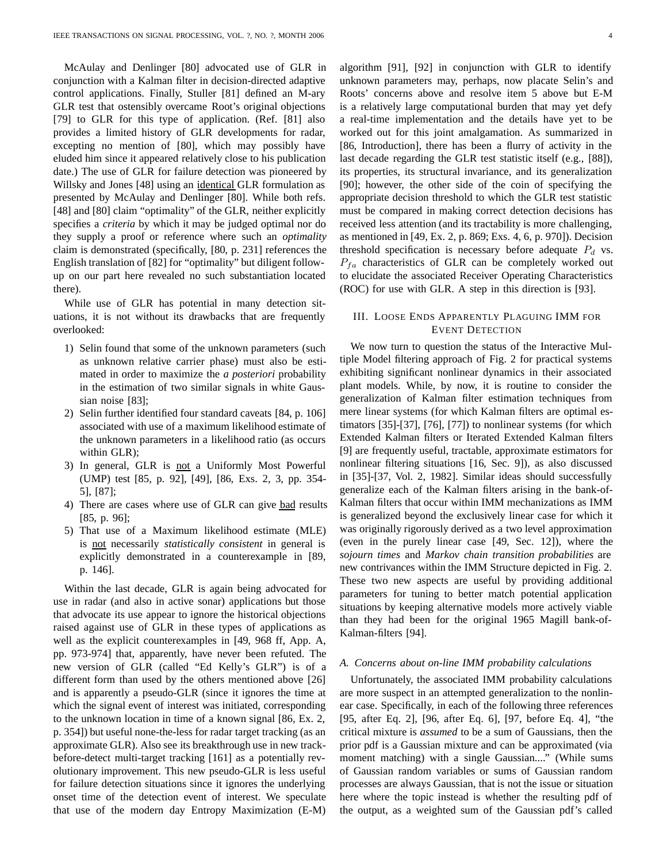McAulay and Denlinger [80] advocated use of GLR in conjunction with a Kalman filter in decision-directed adaptive control applications. Finally, Stuller [81] defined an M-ary GLR test that ostensibly overcame Root's original objections [79] to GLR for this type of application. (Ref. [81] also provides a limited history of GLR developments for radar, excepting no mention of [80], which may possibly have eluded him since it appeared relatively close to his publication date.) The use of GLR for failure detection was pioneered by Willsky and Jones [48] using an identical GLR formulation as presented by McAulay and Denlinger [80]. While both refs. [48] and [80] claim "optimality" of the GLR, neither explicitly specifies a *criteria* by which it may be judged optimal nor do they supply a proof or reference where such an *optimality* claim is demonstrated (specifically, [80, p. 231] references the English translation of [82] for "optimality" but diligent followup on our part here revealed no such substantiation located there).

While use of GLR has potential in many detection situations, it is not without its drawbacks that are frequently overlooked:

- 1) Selin found that some of the unknown parameters (such as unknown relative carrier phase) must also be estimated in order to maximize the *a posteriori* probability in the estimation of two similar signals in white Gaussian noise [83];
- 2) Selin further identified four standard caveats [84, p. 106] associated with use of a maximum likelihood estimate of the unknown parameters in a likelihood ratio (as occurs within GLR);
- 3) In general, GLR is not a Uniformly Most Powerful (UMP) test [85, p. 92], [49], [86, Exs. 2, 3, pp. 354- 5], [87];
- 4) There are cases where use of GLR can give bad results [85, p. 96];
- 5) That use of a Maximum likelihood estimate (MLE) is not necessarily *statistically consistent* in general is explicitly demonstrated in a counterexample in [89, p. 146].

Within the last decade, GLR is again being advocated for use in radar (and also in active sonar) applications but those that advocate its use appear to ignore the historical objections raised against use of GLR in these types of applications as well as the explicit counterexamples in [49, 968 ff, App. A, pp. 973-974] that, apparently, have never been refuted. The new version of GLR (called "Ed Kelly's GLR") is of a different form than used by the others mentioned above [26] and is apparently a pseudo-GLR (since it ignores the time at which the signal event of interest was initiated, corresponding to the unknown location in time of a known signal [86, Ex. 2, p. 354]) but useful none-the-less for radar target tracking (as an approximate GLR). Also see its breakthrough use in new trackbefore-detect multi-target tracking [161] as a potentially revolutionary improvement. This new pseudo-GLR is less useful for failure detection situations since it ignores the underlying onset time of the detection event of interest. We speculate that use of the modern day Entropy Maximization (E-M)

algorithm [91], [92] in conjunction with GLR to identify unknown parameters may, perhaps, now placate Selin's and Roots' concerns above and resolve item 5 above but E-M is a relatively large computational burden that may yet defy a real-time implementation and the details have yet to be worked out for this joint amalgamation. As summarized in [86, Introduction], there has been a flurry of activity in the last decade regarding the GLR test statistic itself (e.g., [88]), its properties, its structural invariance, and its generalization [90]; however, the other side of the coin of specifying the appropriate decision threshold to which the GLR test statistic must be compared in making correct detection decisions has received less attention (and its tractability is more challenging, as mentioned in [49, Ex. 2, p. 869; Exs. 4, 6, p. 970]). Decision threshold specification is necessary before adequate P*<sup>d</sup>* vs.  $P_{fa}$  characteristics of GLR can be completely worked out to elucidate the associated Receiver Operating Characteristics (ROC) for use with GLR. A step in this direction is [93].

# III. LOOSE ENDS APPARENTLY PLAGUING IMM FOR EVENT DETECTION

We now turn to question the status of the Interactive Multiple Model filtering approach of Fig. 2 for practical systems exhibiting significant nonlinear dynamics in their associated plant models. While, by now, it is routine to consider the generalization of Kalman filter estimation techniques from mere linear systems (for which Kalman filters are optimal estimators [35]-[37], [76], [77]) to nonlinear systems (for which Extended Kalman filters or Iterated Extended Kalman filters [9] are frequently useful, tractable, approximate estimators for nonlinear filtering situations [16, Sec. 9]), as also discussed in [35]-[37, Vol. 2, 1982]. Similar ideas should successfully generalize each of the Kalman filters arising in the bank-of-Kalman filters that occur within IMM mechanizations as IMM is generalized beyond the exclusively linear case for which it was originally rigorously derived as a two level approximation (even in the purely linear case [49, Sec. 12]), where the *sojourn times* and *Markov chain transition probabilities* are new contrivances within the IMM Structure depicted in Fig. 2. These two new aspects are useful by providing additional parameters for tuning to better match potential application situations by keeping alternative models more actively viable than they had been for the original 1965 Magill bank-of-Kalman-filters [94].

## *A. Concerns about on-line IMM probability calculations*

Unfortunately, the associated IMM probability calculations are more suspect in an attempted generalization to the nonlinear case. Specifically, in each of the following three references [95, after Eq. 2], [96, after Eq. 6], [97, before Eq. 4], "the critical mixture is *assumed* to be a sum of Gaussians, then the prior pdf is a Gaussian mixture and can be approximated (via moment matching) with a single Gaussian...." (While sums of Gaussian random variables or sums of Gaussian random processes are always Gaussian, that is not the issue or situation here where the topic instead is whether the resulting pdf of the output, as a weighted sum of the Gaussian pdf's called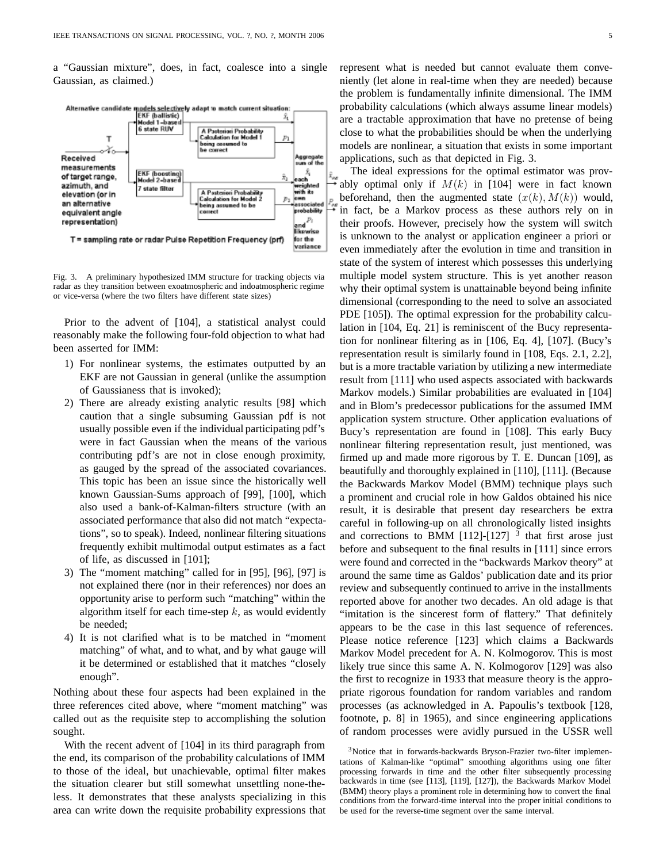a "Gaussian mixture", does, in fact, coalesce into a single Gaussian, as claimed.)



Fig. 3. A preliminary hypothesized IMM structure for tracking objects via radar as they transition between exoatmospheric and indoatmospheric regime or vice-versa (where the two filters have different state sizes)

Prior to the advent of [104], a statistical analyst could reasonably make the following four-fold objection to what had been asserted for IMM:

- 1) For nonlinear systems, the estimates outputted by an EKF are not Gaussian in general (unlike the assumption of Gaussianess that is invoked);
- 2) There are already existing analytic results [98] which caution that a single subsuming Gaussian pdf is not usually possible even if the individual participating pdf's were in fact Gaussian when the means of the various contributing pdf's are not in close enough proximity, as gauged by the spread of the associated covariances. This topic has been an issue since the historically well known Gaussian-Sums approach of [99], [100], which also used a bank-of-Kalman-filters structure (with an associated performance that also did not match "expectations", so to speak). Indeed, nonlinear filtering situations frequently exhibit multimodal output estimates as a fact of life, as discussed in [101];
- 3) The "moment matching" called for in [95], [96], [97] is not explained there (nor in their references) nor does an opportunity arise to perform such "matching" within the algorithm itself for each time-step  $k$ , as would evidently be needed;
- 4) It is not clarified what is to be matched in "moment matching" of what, and to what, and by what gauge will it be determined or established that it matches "closely enough".

Nothing about these four aspects had been explained in the three references cited above, where "moment matching" was called out as the requisite step to accomplishing the solution sought.

With the recent advent of [104] in its third paragraph from the end, its comparison of the probability calculations of IMM to those of the ideal, but unachievable, optimal filter makes the situation clearer but still somewhat unsettling none-theless. It demonstrates that these analysts specializing in this area can write down the requisite probability expressions that represent what is needed but cannot evaluate them conveniently (let alone in real-time when they are needed) because the problem is fundamentally infinite dimensional. The IMM probability calculations (which always assume linear models) are a tractable approximation that have no pretense of being close to what the probabilities should be when the underlying models are nonlinear, a situation that exists in some important applications, such as that depicted in Fig. 3.

The ideal expressions for the optimal estimator was provably optimal only if  $M(k)$  in [104] were in fact known beforehand, then the augmented state  $(x(k), M(k))$  would, in fact, be a Markov process as these authors rely on in their proofs. However, precisely how the system will switch is unknown to the analyst or application engineer a priori or even immediately after the evolution in time and transition in state of the system of interest which possesses this underlying multiple model system structure. This is yet another reason why their optimal system is unattainable beyond being infinite dimensional (corresponding to the need to solve an associated PDE [105]). The optimal expression for the probability calculation in [104, Eq. 21] is reminiscent of the Bucy representation for nonlinear filtering as in [106, Eq. 4], [107]. (Bucy's representation result is similarly found in [108, Eqs. 2.1, 2.2], but is a more tractable variation by utilizing a new intermediate result from [111] who used aspects associated with backwards Markov models.) Similar probabilities are evaluated in [104] and in Blom's predecessor publications for the assumed IMM application system structure. Other application evaluations of Bucy's representation are found in [108]. This early Bucy nonlinear filtering representation result, just mentioned, was firmed up and made more rigorous by T. E. Duncan [109], as beautifully and thoroughly explained in [110], [111]. (Because the Backwards Markov Model (BMM) technique plays such a prominent and crucial role in how Galdos obtained his nice result, it is desirable that present day researchers be extra careful in following-up on all chronologically listed insights and corrections to BMM [112]-[127]  $3$  that first arose just before and subsequent to the final results in [111] since errors were found and corrected in the "backwards Markov theory" at around the same time as Galdos' publication date and its prior review and subsequently continued to arrive in the installments reported above for another two decades. An old adage is that "imitation is the sincerest form of flattery." That definitely appears to be the case in this last sequence of references. Please notice reference [123] which claims a Backwards Markov Model precedent for A. N. Kolmogorov. This is most likely true since this same A. N. Kolmogorov [129] was also the first to recognize in 1933 that measure theory is the appropriate rigorous foundation for random variables and random processes (as acknowledged in A. Papoulis's textbook [128, footnote, p. 8] in 1965), and since engineering applications of random processes were avidly pursued in the USSR well

<sup>3</sup>Notice that in forwards-backwards Bryson-Frazier two-filter implementations of Kalman-like "optimal" smoothing algorithms using one filter processing forwards in time and the other filter subsequently processing backwards in time (see [113], [119], [127]), the Backwards Markov Model (BMM) theory plays a prominent role in determining how to convert the final conditions from the forward-time interval into the proper initial conditions to be used for the reverse-time segment over the same interval.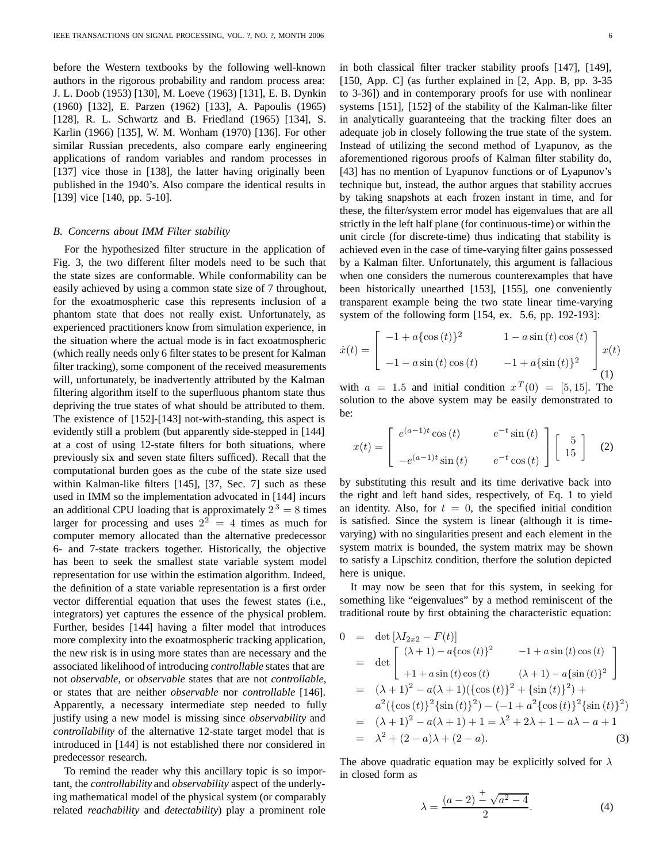before the Western textbooks by the following well-known authors in the rigorous probability and random process area: J. L. Doob (1953) [130], M. Loeve (1963) [131], E. B. Dynkin (1960) [132], E. Parzen (1962) [133], A. Papoulis (1965) [128], R. L. Schwartz and B. Friedland (1965) [134], S. Karlin (1966) [135], W. M. Wonham (1970) [136]. For other similar Russian precedents, also compare early engineering applications of random variables and random processes in [137] vice those in [138], the latter having originally been published in the 1940's. Also compare the identical results in [139] vice [140, pp. 5-10].

## *B. Concerns about IMM Filter stability*

For the hypothesized filter structure in the application of Fig. 3, the two different filter models need to be such that the state sizes are conformable. While conformability can be easily achieved by using a common state size of 7 throughout, for the exoatmospheric case this represents inclusion of a phantom state that does not really exist. Unfortunately, as experienced practitioners know from simulation experience, in the situation where the actual mode is in fact exoatmospheric (which really needs only 6 filter states to be present for Kalman filter tracking), some component of the received measurements will, unfortunately, be inadvertently attributed by the Kalman filtering algorithm itself to the superfluous phantom state thus depriving the true states of what should be attributed to them. The existence of [152]-[143] not-with-standing, this aspect is evidently still a problem (but apparently side-stepped in [144] at a cost of using 12-state filters for both situations, where previously six and seven state filters sufficed). Recall that the computational burden goes as the cube of the state size used within Kalman-like filters [145], [37, Sec. 7] such as these used in IMM so the implementation advocated in [144] incurs an additional CPU loading that is approximately  $2^3 = 8$  times larger for processing and uses  $2^2 = 4$  times as much for computer memory allocated than the alternative predecessor 6- and 7-state trackers together. Historically, the objective has been to seek the smallest state variable system model representation for use within the estimation algorithm. Indeed, the definition of a state variable representation is a first order vector differential equation that uses the fewest states (i.e., integrators) yet captures the essence of the physical problem. Further, besides [144] having a filter model that introduces more complexity into the exoatmospheric tracking application, the new risk is in using more states than are necessary and the associated likelihood of introducing *controllable* states that are not *observable*, or *observable* states that are not *controllable*, or states that are neither *observable* nor *controllable* [146]. Apparently, a necessary intermediate step needed to fully justify using a new model is missing since *observability* and *controllability* of the alternative 12-state target model that is introduced in [144] is not established there nor considered in predecessor research.

To remind the reader why this ancillary topic is so important, the *controllability* and *observability* aspect of the underlying mathematical model of the physical system (or comparably related *reachability* and *detectability*) play a prominent role

in both classical filter tracker stability proofs [147], [149], [150, App. C] (as further explained in [2, App. B, pp. 3-35] to 3-36]) and in contemporary proofs for use with nonlinear systems [151], [152] of the stability of the Kalman-like filter in analytically guaranteeing that the tracking filter does an adequate job in closely following the true state of the system. Instead of utilizing the second method of Lyapunov, as the aforementioned rigorous proofs of Kalman filter stability do, [43] has no mention of Lyapunov functions or of Lyapunov's technique but, instead, the author argues that stability accrues by taking snapshots at each frozen instant in time, and for these, the filter/system error model has eigenvalues that are all strictly in the left half plane (for continuous-time) or within the unit circle (for discrete-time) thus indicating that stability is achieved even in the case of time-varying filter gains possessed by a Kalman filter. Unfortunately, this argument is fallacious when one considers the numerous counterexamples that have been historically unearthed [153], [155], one conveniently transparent example being the two state linear time-varying system of the following form [154, ex. 5.6, pp. 192-193]:

$$
\dot{x}(t) = \begin{bmatrix} -1 + a\{\cos(t)\}^2 & 1 - a\sin(t)\cos(t) \\ -1 - a\sin(t)\cos(t) & -1 + a\{\sin(t)\}^2 \end{bmatrix} x(t)
$$
\n(1)

with  $a = 1.5$  and initial condition  $x^T(0) = [5, 15]$ . The solution to the above system may be easily demonstrated to be:

$$
x(t) = \begin{bmatrix} e^{(a-1)t} \cos(t) & e^{-t} \sin(t) \\ -e^{(a-1)t} \sin(t) & e^{-t} \cos(t) \end{bmatrix} \begin{bmatrix} 5 \\ 15 \end{bmatrix}
$$
 (2)

by substituting this result and its time derivative back into the right and left hand sides, respectively, of Eq. 1 to yield an identity. Also, for  $t = 0$ , the specified initial condition is satisfied. Since the system is linear (although it is timevarying) with no singularities present and each element in the system matrix is bounded, the system matrix may be shown to satisfy a Lipschitz condition, therfore the solution depicted here is unique.

It may now be seen that for this system, in seeking for something like "eigenvalues" by a method reminiscent of the traditional route by first obtaining the characteristic equation:

$$
0 = \det [\lambda I_{2x2} - F(t)]
$$
  
\n
$$
= \det \begin{bmatrix} (\lambda + 1) - a\{\cos(t)\}^2 & -1 + a\sin(t)\cos(t) \\ +1 + a\sin(t)\cos(t) & (\lambda + 1) - a\{\sin(t)\}^2 \end{bmatrix}
$$
  
\n
$$
= (\lambda + 1)^2 - a(\lambda + 1)(\{\cos(t)\}^2 + \{\sin(t)\}^2) + a^2(\{\cos(t)\}^2 \{\sin(t)\}^2) - (-1 + a^2 \{\cos(t)\}^2 \{\sin(t)\}^2)
$$
  
\n
$$
= (\lambda + 1)^2 - a(\lambda + 1) + 1 = \lambda^2 + 2\lambda + 1 - a\lambda - a + 1
$$
  
\n
$$
= \lambda^2 + (2 - a)\lambda + (2 - a).
$$
 (3)

The above quadratic equation may be explicitly solved for  $\lambda$ in closed form as

$$
\lambda = \frac{(a-2)^{\frac{+}{2}}\sqrt{a^2 - 4}}{2}.
$$
 (4)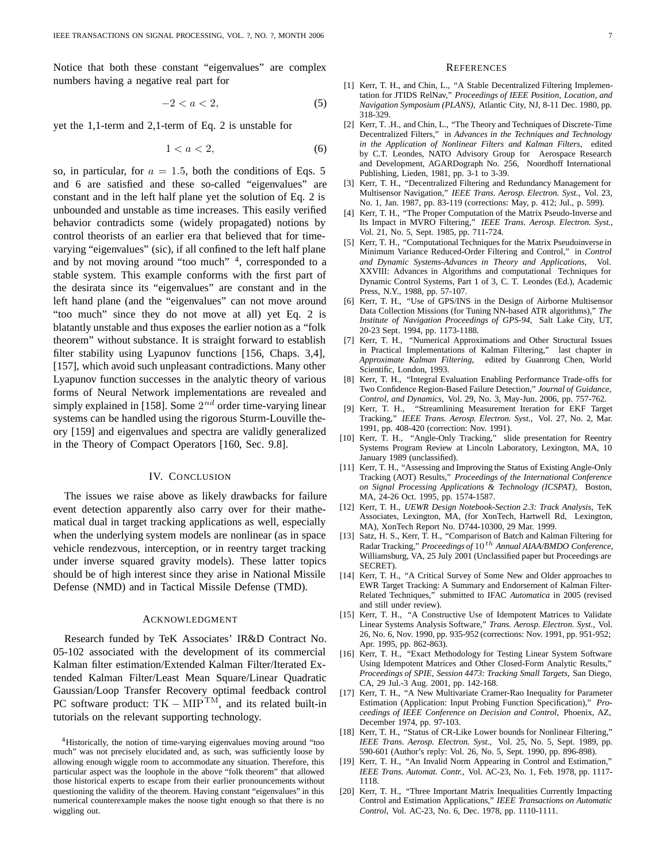Notice that both these constant "eigenvalues" are complex numbers having a negative real part for

$$
-2 < a < 2,\tag{5}
$$

yet the 1,1-term and 2,1-term of Eq. 2 is unstable for

$$
1 < a < 2,\tag{6}
$$

so, in particular, for  $a = 1.5$ , both the conditions of Eqs. 5 and 6 are satisfied and these so-called "eigenvalues" are constant and in the left half plane yet the solution of Eq. 2 is unbounded and unstable as time increases. This easily verified behavior contradicts some (widely propagated) notions by control theorists of an earlier era that believed that for timevarying "eigenvalues" (sic), if all confined to the left half plane and by not moving around "too much" 4, corresponded to a stable system. This example conforms with the first part of the desirata since its "eigenvalues" are constant and in the left hand plane (and the "eigenvalues" can not move around "too much" since they do not move at all) yet Eq. 2 is blatantly unstable and thus exposes the earlier notion as a "folk theorem" without substance. It is straight forward to establish filter stability using Lyapunov functions [156, Chaps. 3,4], [157], which avoid such unpleasant contradictions. Many other Lyapunov function successes in the analytic theory of various forms of Neural Network implementations are revealed and simply explained in [158]. Some 2*nd* order time-varying linear systems can be handled using the rigorous Sturm-Louville theory [159] and eigenvalues and spectra are validly generalized in the Theory of Compact Operators [160, Sec. 9.8].

### IV. CONCLUSION

The issues we raise above as likely drawbacks for failure event detection apparently also carry over for their mathematical dual in target tracking applications as well, especially when the underlying system models are nonlinear (as in space vehicle rendezvous, interception, or in reentry target tracking under inverse squared gravity models). These latter topics should be of high interest since they arise in National Missile Defense (NMD) and in Tactical Missile Defense (TMD).

#### ACKNOWLEDGMENT

Research funded by TeK Associates' IR&D Contract No. 05-102 associated with the development of its commercial Kalman filter estimation/Extended Kalman Filter/Iterated Extended Kalman Filter/Least Mean Square/Linear Quadratic Gaussian/Loop Transfer Recovery optimal feedback control PC software product:  $TK - MIP^{TM}$ , and its related built-in tutorials on the relevant supporting technology.

#### **REFERENCES**

- [1] Kerr, T. H., and Chin, L., "A Stable Decentralized Filtering Implementation for JTIDS RelNav," *Proceedings of IEEE Position, Location, and Navigation Symposium (PLANS)*, Atlantic City, NJ, 8-11 Dec. 1980, pp. 318-329.
- [2] Kerr, T. .H., and Chin, L., "The Theory and Techniques of Discrete-Time Decentralized Filters," in *Advances in the Techniques and Technology in the Application of Nonlinear Filters and Kalman Filters*, edited by C.T. Leondes, NATO Advisory Group for Aerospace Research and Development, AGARDograph No. 256, Noordhoff International Publishing, Lieden, 1981, pp. 3-1 to 3-39.
- [3] Kerr, T. H., "Decentralized Filtering and Redundancy Management for Multisensor Navigation," *IEEE Trans. Aerosp. Electron. Syst.*, Vol. 23, No. 1, Jan. 1987, pp. 83-119 (corrections: May, p. 412; Jul., p. 599).
- [4] Kerr, T. H., "The Proper Computation of the Matrix Pseudo-Inverse and Its Impact in MVRO Filtering," *IEEE Trans. Aerosp. Electron. Syst.*, Vol. 21, No. 5, Sept. 1985, pp. 711-724.
- [5] Kerr, T. H., "Computational Techniques for the Matrix Pseudoinverse in Minimum Variance Reduced-Order Filtering and Control," in *Control and Dynamic Systems-Advances in Theory and Applications,* Vol. XXVIII: Advances in Algorithms and computational Techniques for Dynamic Control Systems, Part 1 of 3, C. T. Leondes (Ed.), Academic Press, N.Y., 1988, pp. 57-107.
- [6] Kerr, T. H., "Use of GPS/INS in the Design of Airborne Multisensor Data Collection Missions (for Tuning NN-based ATR algorithms)," *The Institute of Navigation Proceedings of GPS-94*, Salt Lake City, UT, 20-23 Sept. 1994, pp. 1173-1188.
- [7] Kerr, T. H., "Numerical Approximations and Other Structural Issues in Practical Implementations of Kalman Filtering," last chapter in *Approximate Kalman Filtering*, edited by Guanrong Chen, World Scientific, London, 1993.
- [8] Kerr, T. H., "Integral Evaluation Enabling Performance Trade-offs for Two Confidence Region-Based Failure Detection," *Journal of Guidance, Control, and Dynamics*, Vol. 29, No. 3, May-Jun. 2006, pp. 757-762.
- [9] Kerr, T. H., "Streamlining Measurement Iteration for EKF Target Tracking," *IEEE Trans. Aerosp. Electron. Syst.*, Vol. 27, No. 2, Mar. 1991, pp. 408-420 (correction: Nov. 1991).
- [10] Kerr, T. H., "Angle-Only Tracking," slide presentation for Reentry Systems Program Review at Lincoln Laboratory, Lexington, MA, 10 January 1989 (unclassified).
- [11] Kerr, T. H., "Assessing and Improving the Status of Existing Angle-Only Tracking (AOT) Results," *Proceedings of the International Conference on Signal Processing Applications & Technology (ICSPAT)*, Boston, MA, 24-26 Oct. 1995, pp. 1574-1587.
- [12] Kerr, T. H., *UEWR Design Notebook-Section 2.3: Track Analysis*, TeK Associates, Lexington, MA, (for XonTech, Hartwell Rd, Lexington, MA), XonTech Report No. D744-10300, 29 Mar. 1999.
- [13] Satz, H. S., Kerr, T. H., "Comparison of Batch and Kalman Filtering for Radar Tracking," *Proceedings of* 10*th Annual AIAA/BMDO Conference*, Williamsburg, VA, 25 July 2001 (Unclassified paper but Proceedings are SECRET).
- [14] Kerr, T. H., "A Critical Survey of Some New and Older approaches to EWR Target Tracking: A Summary and Endorsement of Kalman Filter-Related Techniques," submitted to IFAC *Automatica* in 2005 (revised and still under review).
- [15] Kerr, T. H., "A Constructive Use of Idempotent Matrices to Validate Linear Systems Analysis Software," *Trans. Aerosp. Electron. Syst.*, Vol. 26, No. 6, Nov. 1990, pp. 935-952 (corrections: Nov. 1991, pp. 951-952; Apr. 1995, pp. 862-863).
- [16] Kerr, T. H., "Exact Methodology for Testing Linear System Software Using Idempotent Matrices and Other Closed-Form Analytic Results," *Proceedings of SPIE, Session 4473: Tracking Small Targets*, San Diego, CA, 29 Jul.-3 Aug. 2001, pp. 142-168.
- [17] Kerr, T. H., "A New Multivariate Cramer-Rao Inequality for Parameter Estimation (Application: Input Probing Function Specification)," *Proceedings of IEEE Conference on Decision and Control*, Phoenix, AZ, December 1974, pp. 97-103.
- [18] Kerr, T. H., "Status of CR-Like Lower bounds for Nonlinear Filtering," *IEEE Trans. Aerosp. Electron. Syst.*, Vol. 25, No. 5, Sept. 1989, pp. 590-601 (Author's reply: Vol. 26, No. 5, Sept. 1990, pp. 896-898).
- [19] Kerr, T. H., "An Invalid Norm Appearing in Control and Estimation," *IEEE Trans. Automat. Contr.*, Vol. AC-23, No. 1, Feb. 1978, pp. 1117- 1118.
- [20] Kerr, T. H., "Three Important Matrix Inequalities Currently Impacting Control and Estimation Applications," *IEEE Transactions on Automatic Control*, Vol. AC-23, No. 6, Dec. 1978, pp. 1110-1111.

<sup>4</sup>Historically, the notion of time-varying eigenvalues moving around "too much" was not precisely elucidated and, as such, was sufficiently loose by allowing enough wiggle room to accommodate any situation. Therefore, this particular aspect was the loophole in the above "folk theorem" that allowed those historical experts to escape from their earlier pronouncements without questioning the validity of the theorem. Having constant "eigenvalues" in this numerical counterexample makes the noose tight enough so that there is no wiggling out.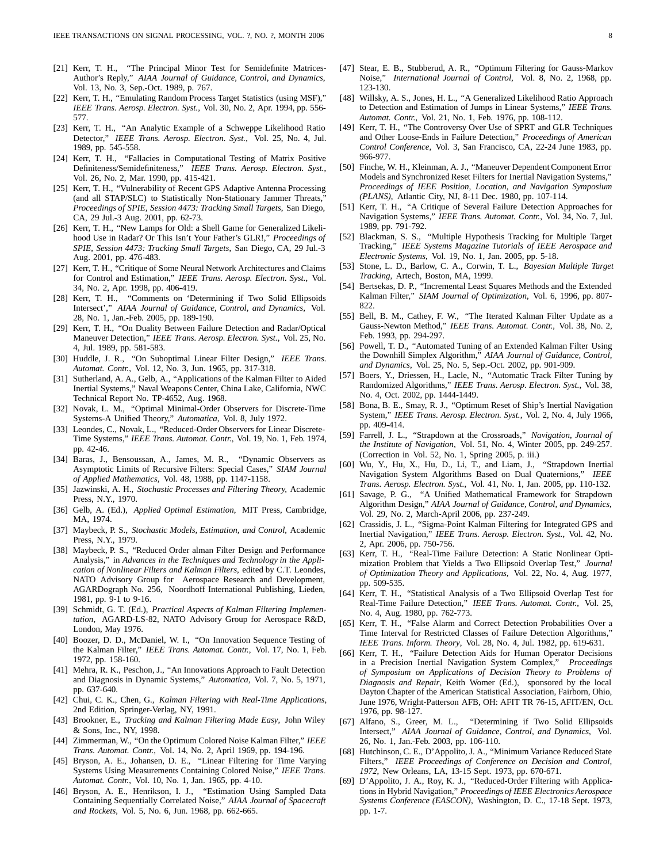- [21] Kerr, T. H., "The Principal Minor Test for Semidefinite Matrices-Author's Reply," *AIAA Journal of Guidance, Control, and Dynamics*, Vol. 13, No. 3, Sep.-Oct. 1989, p. 767.
- [22] Kerr, T. H., "Emulating Random Process Target Statistics (using MSF)," *IEEE Trans. Aerosp. Electron. Syst.*, Vol. 30, No. 2, Apr. 1994, pp. 556- 577.
- [23] Kerr, T. H., "An Analytic Example of a Schweppe Likelihood Ratio Detector," *IEEE Trans. Aerosp. Electron. Syst.*, Vol. 25, No. 4, Jul. 1989, pp. 545-558.
- [24] Kerr, T. H., "Fallacies in Computational Testing of Matrix Positive Definiteness/Semidefiniteness," *IEEE Trans. Aerosp. Electron. Syst.*, Vol. 26, No. 2, Mar. 1990, pp. 415-421.
- [25] Kerr, T. H., "Vulnerability of Recent GPS Adaptive Antenna Processing (and all STAP/SLC) to Statistically Non-Stationary Jammer Threats," *Proceedings of SPIE, Session 4473: Tracking Small Targets*, San Diego, CA, 29 Jul.-3 Aug. 2001, pp. 62-73.
- [26] Kerr, T. H., "New Lamps for Old: a Shell Game for Generalized Likelihood Use in Radar? Or This Isn't Your Father's GLR!," *Proceedings of SPIE, Session 4473: Tracking Small Targets*, San Diego, CA, 29 Jul.-3 Aug. 2001, pp. 476-483.
- [27] Kerr, T. H., "Critique of Some Neural Network Architectures and Claims for Control and Estimation," *IEEE Trans. Aerosp. Electron. Syst.*, Vol. 34, No. 2, Apr. 1998, pp. 406-419.
- [28] Kerr, T. H., "Comments on 'Determining if Two Solid Ellipsoids Intersect'," *AIAA Journal of Guidance, Control, and Dynamics*, Vol. 28, No. 1, Jan.-Feb. 2005, pp. 189-190.
- [29] Kerr, T. H., "On Duality Between Failure Detection and Radar/Optical Maneuver Detection," *IEEE Trans. Aerosp. Electron. Syst.*, Vol. 25, No. 4, Jul. 1989, pp. 581-583.
- [30] Huddle, J. R., "On Suboptimal Linear Filter Design," *IEEE Trans. Automat. Contr.*, Vol. 12, No. 3, Jun. 1965, pp. 317-318.
- [31] Sutherland, A. A., Gelb, A., "Applications of the Kalman Filter to Aided Inertial Systems," Naval Weapons Center, China Lake, California, NWC Technical Report No. TP-4652, Aug. 1968.
- [32] Novak, L. M., "Optimal Minimal-Order Observers for Discrete-Time Systems-A Unified Theory," *Automatica*, Vol. 8, July 1972.
- [33] Leondes, C., Novak, L., "Reduced-Order Observers for Linear Discrete-Time Systems," *IEEE Trans. Automat. Contr.*, Vol. 19, No. 1, Feb. 1974, pp. 42-46.
- [34] Baras, J., Bensoussan, A., James, M. R., "Dynamic Observers as Asymptotic Limits of Recursive Filters: Special Cases," *SIAM Journal of Applied Mathematics*, Vol. 48, 1988, pp. 1147-1158.
- [35] Jazwinski, A. H., *Stochastic Processes and Filtering Theory,* Academic Press, N.Y., 1970.
- [36] Gelb, A. (Ed.), *Applied Optimal Estimation*, MIT Press, Cambridge, MA, 1974.
- [37] Maybeck, P. S., *Stochastic Models, Estimation, and Control*, Academic Press, N.Y., 1979.
- [38] Maybeck, P. S., "Reduced Order alman Filter Design and Performance Analysis," in *Advances in the Techniques and Technology in the Application of Nonlinear Filters and Kalman Filters*, edited by C.T. Leondes, NATO Advisory Group for Aerospace Research and Development, AGARDograph No. 256, Noordhoff International Publishing, Lieden, 1981, pp. 9-1 to 9-16.
- [39] Schmidt, G. T. (Ed.), *Practical Aspects of Kalman Filtering Implementation,* AGARD-LS-82, NATO Advisory Group for Aerospace R&D, London, May 1976.
- [40] Boozer, D. D., McDaniel, W. I., "On Innovation Sequence Testing of the Kalman Filter," *IEEE Trans. Automat. Contr.*, Vol. 17, No. 1, Feb. 1972, pp. 158-160.
- [41] Mehra, R. K., Peschon, J., "An Innovations Approach to Fault Detection and Diagnosis in Dynamic Systems," *Automatica*, Vol. 7, No. 5, 1971, pp. 637-640.
- [42] Chui, C. K., Chen, G., *Kalman Filtering with Real-Time Applications*, 2nd Edition, Springer-Verlag, NY, 1991.
- [43] Brookner, E., *Tracking and Kalman Filtering Made Easy*, John Wiley & Sons, Inc., NY, 1998.
- [44] Zimmerman, W., "On the Optimum Colored Noise Kalman Filter," *IEEE Trans. Automat. Contr.*, Vol. 14, No. 2, April 1969, pp. 194-196.
- [45] Bryson, A. E., Johansen, D. E., "Linear Filtering for Time Varying Systems Using Measurements Containing Colored Noise," *IEEE Trans. Automat. Contr.*, Vol. 10, No. 1, Jan. 1965, pp. 4-10.
- [46] Bryson, A. E., Henrikson, I. J., "Estimation Using Sampled Data Containing Sequentially Correlated Noise," *AIAA Journal of Spacecraft and Rockets*, Vol. 5, No. 6, Jun. 1968, pp. 662-665.
- [47] Stear, E. B., Stubberud, A. R., "Optimum Filtering for Gauss-Markov Noise," *International Journal of Control*, Vol. 8, No. 2, 1968, pp. 123-130.
- [48] Willsky, A. S., Jones, H. L., "A Generalized Likelihood Ratio Approach to Detection and Estimation of Jumps in Linear Systems," *IEEE Trans. Automat. Contr.*, Vol. 21, No. 1, Feb. 1976, pp. 108-112.
- [49] Kerr, T. H., "The Controversy Over Use of SPRT and GLR Techniques and Other Loose-Ends in Failure Detection," *Proceedings of American Control Conference*, Vol. 3, San Francisco, CA, 22-24 June 1983, pp. 966-977.
- [50] Finche, W. H., Kleinman, A. J., "Maneuver Dependent Component Error Models and Synchronized Reset Filters for Inertial Navigation Systems," *Proceedings of IEEE Position, Location, and Navigation Symposium (PLANS)*, Atlantic City, NJ, 8-11 Dec. 1980, pp. 107-114.
- [51] Kerr, T. H., "A Critique of Several Failure Detection Approaches for Navigation Systems," *IEEE Trans. Automat. Contr.*, Vol. 34, No. 7, Jul. 1989, pp. 791-792.
- [52] Blackman, S. S., "Multiple Hypothesis Tracking for Multiple Target Tracking," *IEEE Systems Magazine Tutorials of IEEE Aerospace and Electronic Systems*, Vol. 19, No. 1, Jan. 2005, pp. 5-18.
- [53] Stone, L. D., Barlow, C. A., Corwin, T. L., *Bayesian Multiple Target Tracking*, Artech, Boston, MA, 1999.
- [54] Bertsekas, D. P., "Incremental Least Squares Methods and the Extended Kalman Filter," *SIAM Journal of Optimization*, Vol. 6, 1996, pp. 807- 822.
- [55] Bell, B. M., Cathey, F. W., "The Iterated Kalman Filter Update as a Gauss-Newton Method," *IEEE Trans. Automat. Contr.*, Vol. 38, No. 2, Feb. 1993, pp. 294-297.
- [56] Powell, T. D., "Automated Tuning of an Extended Kalman Filter Using the Downhill Simplex Algorithm," *AIAA Journal of Guidance, Control, and Dynamics*, Vol. 25, No. 5, Sep.-Oct. 2002, pp. 901-909.
- [57] Boers, Y., Driessen, H., Lacle, N., "Automatic Track Filter Tuning by Randomized Algorithms," *IEEE Trans. Aerosp. Electron. Syst.*, Vol. 38, No. 4, Oct. 2002, pp. 1444-1449.
- [58] Bona, B. E., Smay, R. J., "Optimum Reset of Ship's Inertial Navigation System," *IEEE Trans. Aerosp. Electron. Syst.*, Vol. 2, No. 4, July 1966, pp. 409-414.
- [59] Farrell, J. L., "Strapdown at the Crossroads," *Navigation, Journal of the Institute of Navigation*, Vol. 51, No. 4, Winter 2005, pp. 249-257. (Correction in Vol. 52, No. 1, Spring 2005, p. iii.)
- [60] Wu, Y., Hu, X., Hu, D., Li, T., and Liam, J., "Strapdown Inertial Navigation System Algorithms Based on Dual Quaternions," *IEEE Trans. Aerosp. Electron. Syst.*, Vol. 41, No. 1, Jan. 2005, pp. 110-132.
- [61] Savage, P. G., "A Unified Mathematical Framework for Strapdown Algorithm Design," *AIAA Journal of Guidance, Control, and Dynamics*, Vol. 29, No. 2, March-April 2006, pp. 237-249.
- [62] Crassidis, J. L., "Sigma-Point Kalman Filtering for Integrated GPS and Inertial Navigation," *IEEE Trans. Aerosp. Electron. Syst.*, Vol. 42, No. 2, Apr. 2006, pp. 750-756.
- [63] Kerr, T. H., "Real-Time Failure Detection: A Static Nonlinear Optimization Problem that Yields a Two Ellipsoid Overlap Test," *Journal of Optimization Theory and Applications*, Vol. 22, No. 4, Aug. 1977, pp. 509-535.
- [64] Kerr, T. H., "Statistical Analysis of a Two Ellipsoid Overlap Test for Real-Time Failure Detection," *IEEE Trans. Automat. Contr.*, Vol. 25, No. 4, Aug. 1980, pp. 762-773.
- [65] Kerr, T. H., "False Alarm and Correct Detection Probabilities Over a Time Interval for Restricted Classes of Failure Detection Algorithms," *IEEE Trans. Inform. Theory*, Vol. 28, No. 4, Jul. 1982, pp. 619-631.
- [66] Kerr, T. H., "Failure Detection Aids for Human Operator Decisions in a Precision Inertial Navigation System Complex," *Proceedings of Symposium on Applications of Decision Theory to Problems of Diagnosis and Repair*, Keith Womer (Ed.), sponsored by the local Dayton Chapter of the American Statistical Association, Fairborn, Ohio, June 1976, Wright-Patterson AFB, OH: AFIT TR 76-15, AFIT/EN, Oct. 1976, pp. 98-127.
- [67] Alfano, S., Greer, M. L., "Determining if Two Solid Ellipsoids Intersect," *AIAA Journal of Guidance, Control, and Dynamics*, Vol. 26, No. 1, Jan.-Feb. 2003, pp. 106-110.
- [68] Hutchinson, C. E., D'Appolito, J. A., "Minimum Variance Reduced State Filters," *IEEE Proceedings of Conference on Decision and Control, 1972*, New Orleans, LA, 13-15 Sept. 1973, pp. 670-671.
- [69] D'Appolito, J. A., Roy, K. J., "Reduced-Order Filtering with Applications in Hybrid Navigation," *Proceedings of IEEE Electronics Aerospace Systems Conference (EASCON)*, Washington, D. C., 17-18 Sept. 1973, pp. 1-7.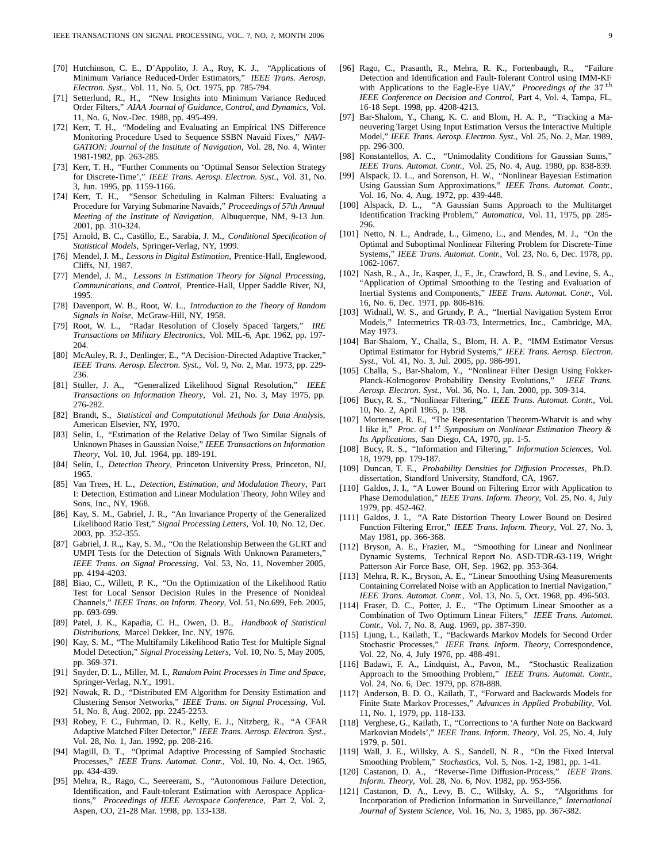- [70] Hutchinson, C. E., D'Appolito, J. A., Roy, K. J., "Applications of Minimum Variance Reduced-Order Estimators," *IEEE Trans. Aerosp. Electron. Syst.*, Vol. 11, No. 5, Oct. 1975, pp. 785-794.
- [71] Setterlund, R., H., "New Insights into Minimum Variance Reduced Order Filters," *AIAA Journal of Guidance, Control, and Dynamics*, Vol. 11, No. 6, Nov.-Dec. 1988, pp. 495-499.
- [72] Kerr, T. H., "Modeling and Evaluating an Empirical INS Difference Monitoring Procedure Used to Sequence SSBN Navaid Fixes," *NAVI-GATION: Journal of the Institute of Navigation*, Vol. 28, No. 4, Winter 1981-1982, pp. 263-285.
- [73] Kerr, T. H., "Further Comments on 'Optimal Sensor Selection Strategy for Discrete-Time'," *IEEE Trans. Aerosp. Electron. Syst.*, Vol. 31, No. 3, Jun. 1995, pp. 1159-1166.
- [74] Kerr, T. H., "Sensor Scheduling in Kalman Filters: Evaluating a Procedure for Varying Submarine Navaids," *Proceedings of 57th Annual Meeting of the Institute of Navigation*, Albuquerque, NM, 9-13 Jun. 2001, pp. 310-324.
- [75] Arnold, B. C., Castillo, E., Sarabia, J. M., *Conditional Specification of Statistical Models*, Springer-Verlag, NY, 1999.
- [76] Mendel, J. M., *Lessons in Digital Estimation*, Prentice-Hall, Englewood, Cliffs, NJ, 1987.
- [77] Mendel, J. M., *Lessons in Estimation Theory for Signal Processing, Communications, and Control*, Prentice-Hall, Upper Saddle River, NJ, 1995.
- [78] Davenport, W. B., Root, W. L., *Introduction to the Theory of Random Signals in Noise*, McGraw-Hill, NY, 1958.
- [79] Root, W. L., "Radar Resolution of Closely Spaced Targets," *IRE Transactions on Military Electronics*, Vol. MIL-6, Apr. 1962, pp. 197- 204.
- [80] McAuley, R. J., Denlinger, E., "A Decision-Directed Adaptive Tracker," *IEEE Trans. Aerosp. Electron. Syst.*, Vol. 9, No. 2, Mar. 1973, pp. 229- 236.
- [81] Stuller, J. A., "Generalized Likelihood Signal Resolution," *IEEE Transactions on Information Theory*, Vol. 21, No. 3, May 1975, pp. 276-282.
- [82] Brandt, S., *Statistical and Computational Methods for Data Analysis*, American Elsevier, NY, 1970.
- [83] Selin, I., "Estimation of the Relative Delay of Two Similar Signals of Unknown Phases in Gaussian Noise," *IEEE Transactions on Information Theory*, Vol. 10, Jul. 1964, pp. 189-191.
- [84] Selin, I., *Detection Theory*, Princeton University Press, Princeton, NJ, 1965.
- [85] Van Trees, H. L., *Detection, Estimation, and Modulation Theory*, Part I: Detection, Estimation and Linear Modulation Theory, John Wiley and Sons, Inc., NY, 1968.
- [86] Kay, S. M., Gabriel, J. R., "An Invariance Property of the Generalized Likelihood Ratio Test," *Signal Processing Letters*, Vol. 10, No. 12, Dec. 2003, pp. 352-355.
- [87] Gabriel, J. R.,, Kay, S. M., "On the Relationship Between the GLRT and UMPI Tests for the Detection of Signals With Unknown Parameters," *IEEE Trans. on Signal Processing*, Vol. 53, No. 11, November 2005, pp. 4194-4203.
- [88] Biao, C., Willett, P. K., "On the Optimization of the Likelihood Ratio Test for Local Sensor Decision Rules in the Presence of Nonideal Channels," *IEEE Trans. on Inform. Theory*, Vol. 51, No.699, Feb. 2005, pp. 693-699.
- [89] Patel, J. K., Kapadia, C. H., Owen, D. B., *Handbook of Statistical Distributions,* Marcel Dekker, Inc. NY, 1976.
- [90] Kay, S. M., "The Multifamily Likelihood Ratio Test for Multiple Signal Model Detection," *Signal Processing Letters*, Vol. 10, No. 5, May 2005, pp. 369-371.
- [91] Snyder, D. L., Miller, M. I., *Random Point Processes in Time and Space*, Springer-Verlag, N.Y., 1991.
- [92] Nowak, R. D., "Distributed EM Algorithm for Density Estimation and Clustering Sensor Networks," *IEEE Trans. on Signal Processing*, Vol. 51, No. 8, Aug. 2002, pp. 2245-2253.
- [93] Robey, F. C., Fuhrman, D. R., Kelly, E. J., Nitzberg, R., "A CFAR Adaptive Matched Filter Detector," *IEEE Trans. Aerosp. Electron. Syst.*, Vol. 28, No. 1, Jan. 1992, pp. 208-216.
- [94] Magill, D. T., "Optimal Adaptive Processing of Sampled Stochastic Processes," *IEEE Trans. Automat. Contr.*, Vol. 10, No. 4, Oct. 1965, pp. 434-439.
- [95] Mehra, R., Rago, C., Seereeram, S., "Autonomous Failure Detection, Identification, and Fault-tolerant Estimation with Aerospace Applications," *Proceedings of IEEE Aerospace Conference*, Part 2, Vol. 2, Aspen, CO, 21-28 Mar. 1998, pp. 133-138.
- [96] Rago, C., Prasanth, R., Mehra, R. K., Fortenbaugh, R., "Failure Detection and Identification and Fault-Tolerant Control using IMM-KF with Applications to the Eagle-Eye UAV," *Proceedings of the* 37 *th IEEE Conference on Decision and Control*, Part 4, Vol. 4, Tampa, FL, 16-18 Sept. 1998, pp. 4208-4213.
- [97] Bar-Shalom, Y., Chang, K. C. and Blom, H. A. P., "Tracking a Maneuvering Target Using Input Estimation Versus the Interactive Multiple Model," *IEEE Trans. Aerosp. Electron. Syst.*, Vol. 25, No. 2, Mar. 1989, pp. 296-300.
- [98] Konstantellos, A. C., "Unimodality Conditions for Gaussian Sums," *IEEE Trans. Automat. Contr.*, Vol. 25, No. 4, Aug. 1980, pp. 838-839.
- [99] Alspack, D. L., and Sorenson, H. W., "Nonlinear Bayesian Estimation Using Gaussian Sum Approximations," *IEEE Trans. Automat. Contr.*, Vol. 16, No. 4, Aug. 1972, pp. 439-448.
- [100] Alspack, D. L., "A Gaussian Sums Approach to the Multitarget Identification Tracking Problem," *Automatica*, Vol. 11, 1975, pp. 285- 296.
- [101] Netto, N. L., Andrade, L., Gimeno, L., and Mendes, M. J., "On the Optimal and Suboptimal Nonlinear Filtering Problem for Discrete-Time Systems," *IEEE Trans. Automat. Contr.*, Vol. 23, No. 6, Dec. 1978, pp. 1062-1067.
- [102] Nash, R., A., Jr., Kasper, J., F., Jr., Crawford, B. S., and Levine, S. A., "Application of Optimal Smoothing to the Testing and Evaluation of Inertial Systems and Components," *IEEE Trans. Automat. Contr.*, Vol. 16, No. 6, Dec. 1971, pp. 806-816.
- [103] Widnall, W. S., and Grundy, P. A., "Inertial Navigation System Error Models," Intermetrics TR-03-73, Intermetrics, Inc., Cambridge, MA, May 1973.
- [104] Bar-Shalom, Y., Challa, S., Blom, H. A. P., "IMM Estimator Versus Optimal Estimator for Hybrid Systems," *IEEE Trans. Aerosp. Electron. Syst.*, Vol. 41, No. 3, Jul. 2005, pp. 986-991.
- [105] Challa, S., Bar-Shalom, Y., "Nonlinear Filter Design Using Fokker-Planck-Kolmogorov Probability Density Evolutions," *IEEE Trans. Aerosp. Electron. Syst.*, Vol. 36, No. 1, Jan. 2000, pp. 309-314.
- [106] Bucy, R. S., "Nonlinear Filtering," *IEEE Trans. Automat. Contr.*, Vol. 10, No. 2, April 1965, p. 198.
- [107] Mortensen, R. E., "The Representation Theorem-Whatvit is and why I like it," *Proc. of* 1*st Symposium on Nonlinear Estimation Theory & Its Applications*, San Diego, CA, 1970, pp. 1-5.
- [108] Bucy, R. S., "Information and Filtering," *Information Sciences*, Vol. 18, 1979, pp. 179-187.
- [109] Duncan, T. E., *Probability Densities for Diffusion Processes,* Ph.D. dissertation, Standford University, Standford, CA, 1967.
- [110] Galdos, J. I., "A Lower Bound on Filtering Error with Application to Phase Demodulation," *IEEE Trans. Inform. Theory*, Vol. 25, No. 4, July 1979, pp. 452-462.
- [111] Galdos, J. I., "A Rate Distortion Theory Lower Bound on Desired Function Filtering Error," *IEEE Trans. Inform. Theory*, Vol. 27, No. 3, May 1981, pp. 366-368.
- [112] Bryson, A. E., Frazier, M., "Smoothing for Linear and Nonlinear Dynamic Systems, Technical Report No. ASD-TDR-63-119, Wright Patterson Air Force Base, OH, Sep. 1962, pp. 353-364.
- [113] Mehra, R. K., Bryson, A. E., "Linear Smoothing Using Measurements Containing Correlated Noise with an Application to Inertial Navigation,' *IEEE Trans. Automat. Contr.*, Vol. 13, No. 5, Oct. 1968, pp. 496-503.
- [114] Fraser, D. C., Potter, J. E., "The Optimum Linear Smoother as a Combination of Two Optimum Linear Filters," *IEEE Trans. Automat. Contr.*, Vol. 7, No. 8, Aug. 1969, pp. 387-390.
- [115] Ljung, L., Kailath, T., "Backwards Markov Models for Second Order Stochastic Processes," *IEEE Trans. Inform. Theory*, Correspondence, Vol. 22, No. 4, July 1976, pp. 488-491.
- [116] Badawi, F. A., Lindquist, A., Pavon, M., "Stochastic Realization Approach to the Smoothing Problem," *IEEE Trans. Automat. Contr.*, Vol. 24, No. 6, Dec. 1979, pp. 878-888.
- [117] Anderson, B. D. O., Kailath, T., "Forward and Backwards Models for Finite State Markov Processes," *Advances in Applied Probability*, Vol. 11, No. 1, 1979, pp. 118-133.
- [118] Verghese, G., Kailath, T., "Corrections to 'A further Note on Backward Markovian Models'," *IEEE Trans. Inform. Theory*, Vol. 25, No. 4, July 1979, p. 501.
- [119] Wall, J. E., Willsky, A. S., Sandell, N. R., "On the Fixed Interval Smoothing Problem," *Stochastics*, Vol. 5, Nos. 1-2, 1981, pp. 1-41.
- [120] Castanon, D. A., "Reverse-Time Diffusion-Process," *IEEE Trans. Inform. Theory*, Vol. 28, No. 6, Nov. 1982, pp. 953-956.
- [121] Castanon, D. A., Levy, B. C., Willsky, A. S., "Algorithms for Incorporation of Prediction Information in Surveillance," *International Journal of System Science*, Vol. 16, No. 3, 1985, pp. 367-382.